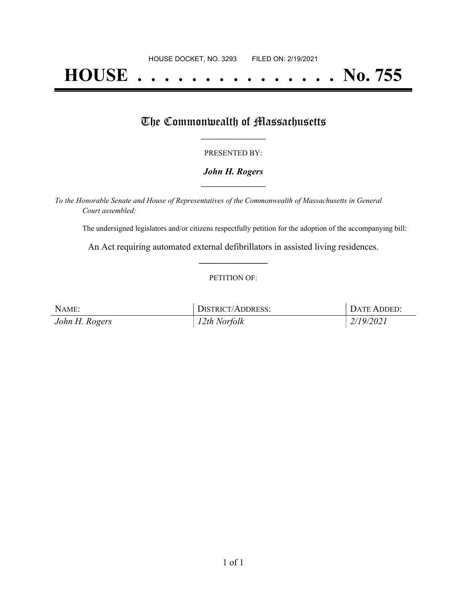# **HOUSE . . . . . . . . . . . . . . . No. 755**

## The Commonwealth of Massachusetts

#### PRESENTED BY:

#### *John H. Rogers* **\_\_\_\_\_\_\_\_\_\_\_\_\_\_\_\_\_**

*To the Honorable Senate and House of Representatives of the Commonwealth of Massachusetts in General Court assembled:*

The undersigned legislators and/or citizens respectfully petition for the adoption of the accompanying bill:

An Act requiring automated external defibrillators in assisted living residences. **\_\_\_\_\_\_\_\_\_\_\_\_\_\_\_**

#### PETITION OF:

| NAME:          | <b>DISTRICT/ADDRESS:</b> | DATE ADDED: |
|----------------|--------------------------|-------------|
| John H. Rogers | 12th Norfolk             | 2/19/2021   |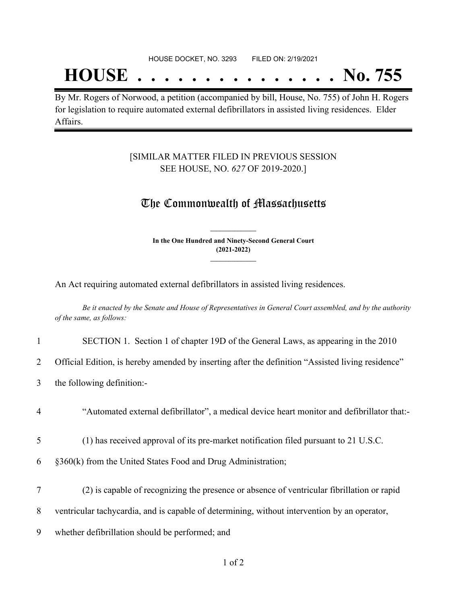## **HOUSE . . . . . . . . . . . . . . . No. 755**

By Mr. Rogers of Norwood, a petition (accompanied by bill, House, No. 755) of John H. Rogers for legislation to require automated external defibrillators in assisted living residences. Elder Affairs.

#### [SIMILAR MATTER FILED IN PREVIOUS SESSION SEE HOUSE, NO. *627* OF 2019-2020.]

### The Commonwealth of Massachusetts

**In the One Hundred and Ninety-Second General Court (2021-2022) \_\_\_\_\_\_\_\_\_\_\_\_\_\_\_**

**\_\_\_\_\_\_\_\_\_\_\_\_\_\_\_**

An Act requiring automated external defibrillators in assisted living residences.

Be it enacted by the Senate and House of Representatives in General Court assembled, and by the authority *of the same, as follows:*

#### 1 SECTION 1. Section 1 of chapter 19D of the General Laws, as appearing in the 2010

2 Official Edition, is hereby amended by inserting after the definition "Assisted living residence"

- 3 the following definition:-
- 4 "Automated external defibrillator", a medical device heart monitor and defibrillator that:-
- 5 (1) has received approval of its pre-market notification filed pursuant to 21 U.S.C.
- 6 §360(k) from the United States Food and Drug Administration;
- 7 (2) is capable of recognizing the presence or absence of ventricular fibrillation or rapid
- 8 ventricular tachycardia, and is capable of determining, without intervention by an operator,
- 9 whether defibrillation should be performed; and